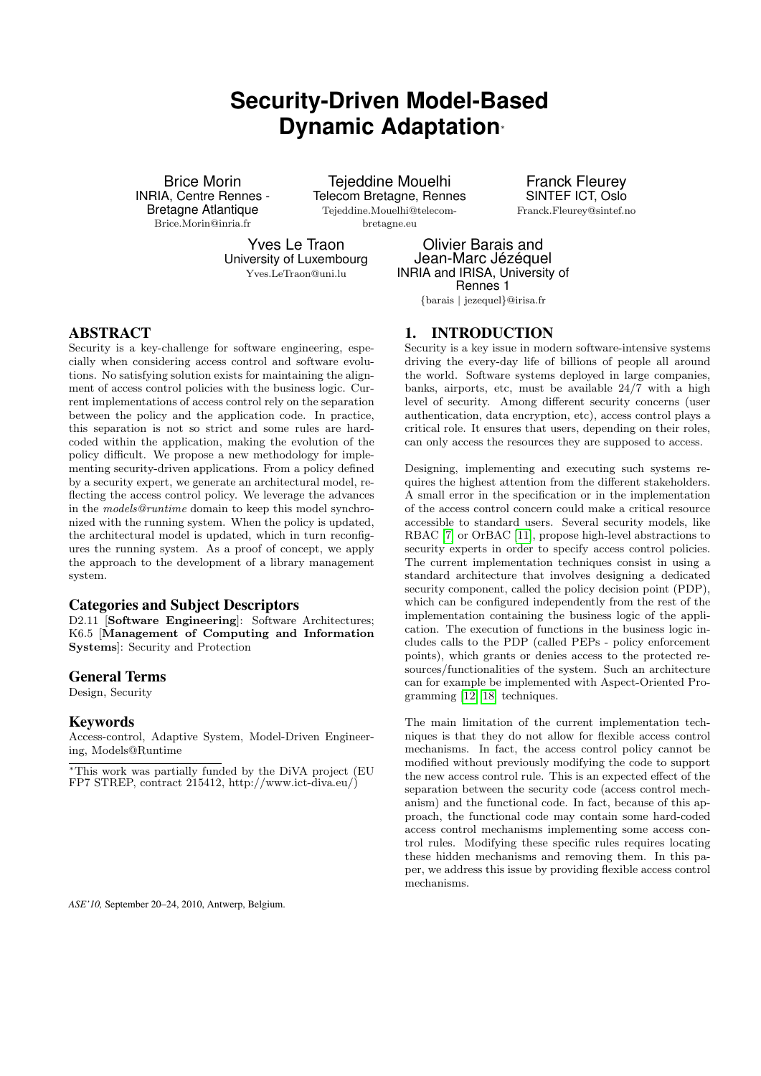# **Security-Driven Model-Based Dynamic Adaptation**<sup>∗</sup>

Brice Morin INRIA, Centre Rennes - Bretagne Atlantique Brice.Morin@inria.fr

Tejeddine Mouelhi Telecom Bretagne, Rennes Tejeddine.Mouelhi@telecombretagne.eu

Franck Fleurey SINTEF ICT, Oslo Franck.Fleurey@sintef.no

Yves Le Traon University of Luxembourg Yves.LeTraon@uni.lu Olivier Barais and

Jean-Marc Jézéquel INRIA and IRISA, University of Rennes 1 {barais | jezequel}@irisa.fr

### ABSTRACT

Security is a key-challenge for software engineering, especially when considering access control and software evolutions. No satisfying solution exists for maintaining the alignment of access control policies with the business logic. Current implementations of access control rely on the separation between the policy and the application code. In practice, this separation is not so strict and some rules are hardcoded within the application, making the evolution of the policy difficult. We propose a new methodology for implementing security-driven applications. From a policy defined by a security expert, we generate an architectural model, reflecting the access control policy. We leverage the advances in the models@runtime domain to keep this model synchronized with the running system. When the policy is updated, the architectural model is updated, which in turn reconfigures the running system. As a proof of concept, we apply the approach to the development of a library management system.

#### Categories and Subject Descriptors

D2.11 [Software Engineering]: Software Architectures; K6.5 [Management of Computing and Information Systems]: Security and Protection

#### General Terms

Design, Security

#### Keywords

Access-control, Adaptive System, Model-Driven Engineering, Models@Runtime

<sup>∗</sup>This work was partially funded by the DiVA project (EU FP7 STREP, contract 215412, http://www.ict-diva.eu/)

1. INTRODUCTION

Security is a key issue in modern software-intensive systems driving the every-day life of billions of people all around the world. Software systems deployed in large companies, banks, airports, etc, must be available 24/7 with a high level of security. Among different security concerns (user authentication, data encryption, etc), access control plays a critical role. It ensures that users, depending on their roles, can only access the resources they are supposed to access.

Designing, implementing and executing such systems requires the highest attention from the different stakeholders. A small error in the specification or in the implementation of the access control concern could make a critical resource accessible to standard users. Several security models, like RBAC [\[7\]](#page-8-0) or OrBAC [\[11\]](#page-8-1), propose high-level abstractions to security experts in order to specify access control policies. The current implementation techniques consist in using a standard architecture that involves designing a dedicated security component, called the policy decision point (PDP), which can be configured independently from the rest of the implementation containing the business logic of the application. The execution of functions in the business logic includes calls to the PDP (called PEPs - policy enforcement points), which grants or denies access to the protected resources/functionalities of the system. Such an architecture can for example be implemented with Aspect-Oriented Programming [\[12,](#page-8-2) [18\]](#page-8-3) techniques.

The main limitation of the current implementation techniques is that they do not allow for flexible access control mechanisms. In fact, the access control policy cannot be modified without previously modifying the code to support the new access control rule. This is an expected effect of the separation between the security code (access control mechanism) and the functional code. In fact, because of this approach, the functional code may contain some hard-coded access control mechanisms implementing some access control rules. Modifying these specific rules requires locating these hidden mechanisms and removing them. In this paper, we address this issue by providing flexible access control mechanisms.

*ASE'10,* September 20–24, 2010, Antwerp, Belgium.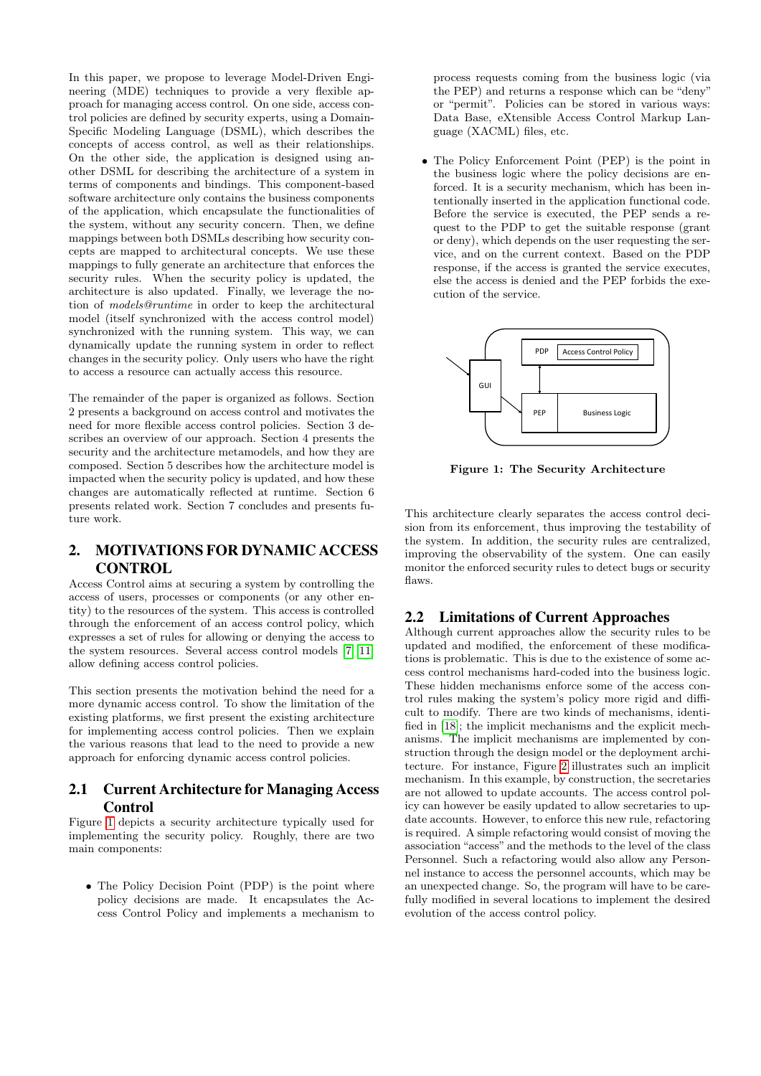In this paper, we propose to leverage Model-Driven Engineering (MDE) techniques to provide a very flexible approach for managing access control. On one side, access control policies are defined by security experts, using a Domain-Specific Modeling Language (DSML), which describes the concepts of access control, as well as their relationships. On the other side, the application is designed using another DSML for describing the architecture of a system in terms of components and bindings. This component-based software architecture only contains the business components of the application, which encapsulate the functionalities of the system, without any security concern. Then, we define mappings between both DSMLs describing how security concepts are mapped to architectural concepts. We use these mappings to fully generate an architecture that enforces the security rules. When the security policy is updated, the architecture is also updated. Finally, we leverage the notion of models@runtime in order to keep the architectural model (itself synchronized with the access control model) synchronized with the running system. This way, we can dynamically update the running system in order to reflect changes in the security policy. Only users who have the right to access a resource can actually access this resource.

The remainder of the paper is organized as follows. Section 2 presents a background on access control and motivates the need for more flexible access control policies. Section 3 describes an overview of our approach. Section 4 presents the security and the architecture metamodels, and how they are composed. Section 5 describes how the architecture model is impacted when the security policy is updated, and how these changes are automatically reflected at runtime. Section 6 presents related work. Section 7 concludes and presents future work.

# 2. MOTIVATIONS FOR DYNAMIC ACCESS **CONTROL**

Access Control aims at securing a system by controlling the access of users, processes or components (or any other entity) to the resources of the system. This access is controlled through the enforcement of an access control policy, which expresses a set of rules for allowing or denying the access to the system resources. Several access control models [\[7,](#page-8-0) [11\]](#page-8-1) allow defining access control policies.

This section presents the motivation behind the need for a more dynamic access control. To show the limitation of the existing platforms, we first present the existing architecture for implementing access control policies. Then we explain the various reasons that lead to the need to provide a new approach for enforcing dynamic access control policies.

# <span id="page-1-1"></span>2.1 Current Architecture for Managing Access Control

Figure [1](#page-1-0) depicts a security architecture typically used for implementing the security policy. Roughly, there are two main components:

• The Policy Decision Point (PDP) is the point where policy decisions are made. It encapsulates the Access Control Policy and implements a mechanism to process requests coming from the business logic (via the PEP) and returns a response which can be "deny" or "permit". Policies can be stored in various ways: Data Base, eXtensible Access Control Markup Language (XACML) files, etc.

• The Policy Enforcement Point (PEP) is the point in the business logic where the policy decisions are enforced. It is a security mechanism, which has been intentionally inserted in the application functional code. Before the service is executed, the PEP sends a request to the PDP to get the suitable response (grant or deny), which depends on the user requesting the service, and on the current context. Based on the PDP response, if the access is granted the service executes, else the access is denied and the PEP forbids the execution of the service.



<span id="page-1-0"></span>Figure 1: The Security Architecture

This architecture clearly separates the access control decision from its enforcement, thus improving the testability of the system. In addition, the security rules are centralized, improving the observability of the system. One can easily monitor the enforced security rules to detect bugs or security flaws.

# 2.2 Limitations of Current Approaches

Although current approaches allow the security rules to be updated and modified, the enforcement of these modifications is problematic. This is due to the existence of some access control mechanisms hard-coded into the business logic. These hidden mechanisms enforce some of the access control rules making the system's policy more rigid and difficult to modify. There are two kinds of mechanisms, identified in [\[18\]](#page-8-3); the implicit mechanisms and the explicit mechanisms. The implicit mechanisms are implemented by construction through the design model or the deployment architecture. For instance, Figure [2](#page-2-0) illustrates such an implicit mechanism. In this example, by construction, the secretaries are not allowed to update accounts. The access control policy can however be easily updated to allow secretaries to update accounts. However, to enforce this new rule, refactoring is required. A simple refactoring would consist of moving the association "access" and the methods to the level of the class Personnel. Such a refactoring would also allow any Personnel instance to access the personnel accounts, which may be an unexpected change. So, the program will have to be carefully modified in several locations to implement the desired evolution of the access control policy.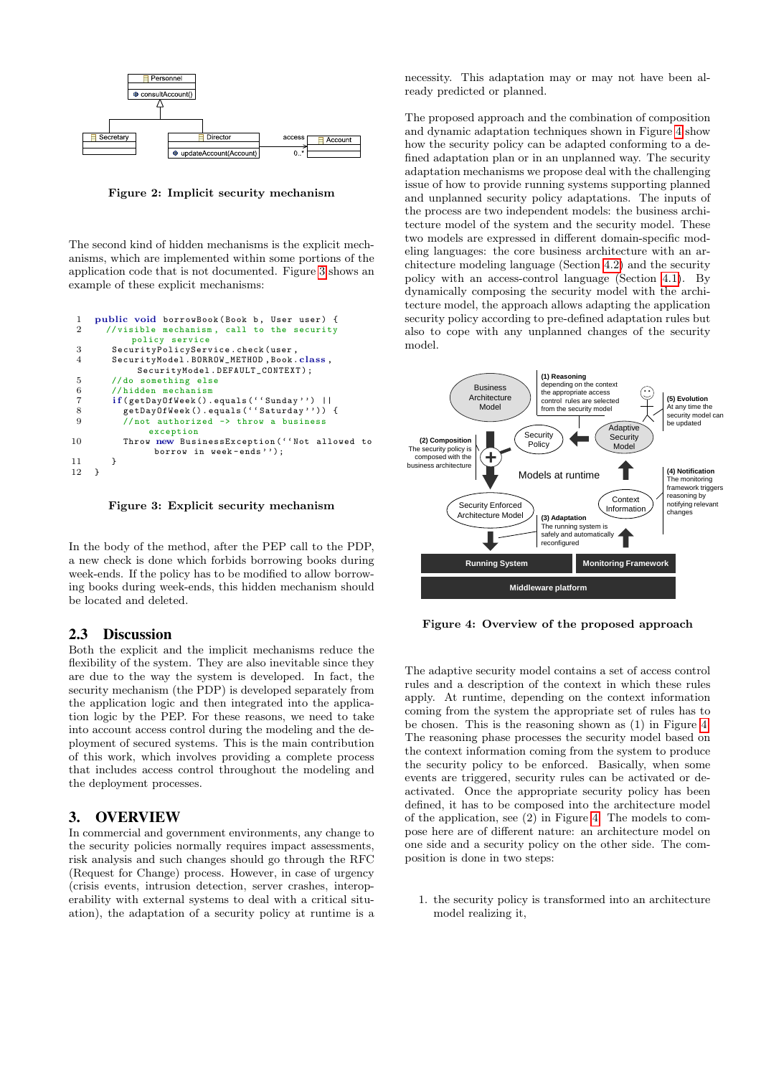

<span id="page-2-0"></span>Figure 2: Implicit security mechanism

The second kind of hidden mechanisms is the explicit mechanisms, which are implemented within some portions of the application code that is not documented. Figure [3](#page-2-1) shows an example of these explicit mechanisms:

```
1 public void borrowBook (Book b, User user) {<br>
2 //visible mechanism, call to the security
        //visible mechanism, call to the security
              policy service
 3 SecurityPolicyService . check ( user ,
 4 SecurityModel . BORROW_METHOD , Book . class ,
               SecurityModel.DEFAULT_CONTEXT);
 5 // do something else<br>6 // hidden mechanism
 6 //hidden mechanism<br>7 if (refDay0fWeak()7 if (getDayOfWeek ().equals (''Sunday'') ||<br>8 setDayOfWeek ().equals (''Saturday''))
            getDayOfWeek () . equals (''Saturday'')) {
 9 // not authorized -> throw a business
                  exception
10 Throw new BusinessException ('' Not allowed to
                    borrow in week-ends'');
\begin{array}{ccc} 11 & & \\ 12 & & \\ \end{array}12 }
```
<span id="page-2-1"></span>Figure 3: Explicit security mechanism

In the body of the method, after the PEP call to the PDP, a new check is done which forbids borrowing books during week-ends. If the policy has to be modified to allow borrowing books during week-ends, this hidden mechanism should be located and deleted.

#### 2.3 Discussion

Both the explicit and the implicit mechanisms reduce the flexibility of the system. They are also inevitable since they are due to the way the system is developed. In fact, the security mechanism (the PDP) is developed separately from the application logic and then integrated into the application logic by the PEP. For these reasons, we need to take into account access control during the modeling and the deployment of secured systems. This is the main contribution of this work, which involves providing a complete process that includes access control throughout the modeling and the deployment processes.

#### 3. OVERVIEW

In commercial and government environments, any change to the security policies normally requires impact assessments, risk analysis and such changes should go through the RFC (Request for Change) process. However, in case of urgency (crisis events, intrusion detection, server crashes, interoperability with external systems to deal with a critical situation), the adaptation of a security policy at runtime is a

necessity. This adaptation may or may not have been already predicted or planned.

The proposed approach and the combination of composition and dynamic adaptation techniques shown in Figure [4](#page-2-2) show how the security policy can be adapted conforming to a defined adaptation plan or in an unplanned way. The security adaptation mechanisms we propose deal with the challenging issue of how to provide running systems supporting planned and unplanned security policy adaptations. The inputs of the process are two independent models: the business architecture model of the system and the security model. These two models are expressed in different domain-specific modeling languages: the core business architecture with an architecture modeling language (Section [4.2\)](#page-3-0) and the security policy with an access-control language (Section [4.1\)](#page-3-1). By dynamically composing the security model with the architecture model, the approach allows adapting the application security policy according to pre-defined adaptation rules but also to cope with any unplanned changes of the security model.



<span id="page-2-2"></span>Figure 4: Overview of the proposed approach

The adaptive security model contains a set of access control rules and a description of the context in which these rules apply. At runtime, depending on the context information coming from the system the appropriate set of rules has to be chosen. This is the reasoning shown as (1) in Figure [4.](#page-2-2) The reasoning phase processes the security model based on the context information coming from the system to produce the security policy to be enforced. Basically, when some events are triggered, security rules can be activated or deactivated. Once the appropriate security policy has been defined, it has to be composed into the architecture model of the application, see (2) in Figure [4.](#page-2-2) The models to compose here are of different nature: an architecture model on one side and a security policy on the other side. The composition is done in two steps:

1. the security policy is transformed into an architecture model realizing it,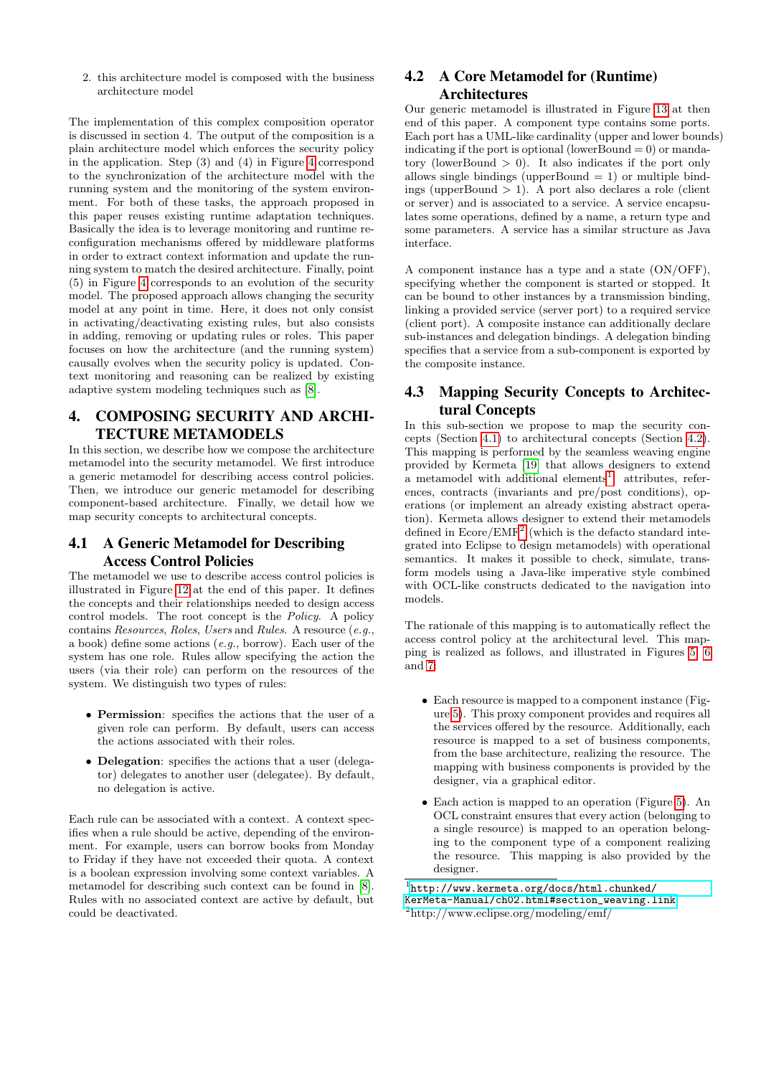2. this architecture model is composed with the business architecture model

The implementation of this complex composition operator is discussed in section 4. The output of the composition is a plain architecture model which enforces the security policy in the application. Step (3) and (4) in Figure [4](#page-2-2) correspond to the synchronization of the architecture model with the running system and the monitoring of the system environment. For both of these tasks, the approach proposed in this paper reuses existing runtime adaptation techniques. Basically the idea is to leverage monitoring and runtime reconfiguration mechanisms offered by middleware platforms in order to extract context information and update the running system to match the desired architecture. Finally, point (5) in Figure [4](#page-2-2) corresponds to an evolution of the security model. The proposed approach allows changing the security model at any point in time. Here, it does not only consist in activating/deactivating existing rules, but also consists in adding, removing or updating rules or roles. This paper focuses on how the architecture (and the running system) causally evolves when the security policy is updated. Context monitoring and reasoning can be realized by existing adaptive system modeling techniques such as [\[8\]](#page-8-4).

### <span id="page-3-4"></span>4. COMPOSING SECURITY AND ARCHI-TECTURE METAMODELS

In this section, we describe how we compose the architecture metamodel into the security metamodel. We first introduce a generic metamodel for describing access control policies. Then, we introduce our generic metamodel for describing component-based architecture. Finally, we detail how we map security concepts to architectural concepts.

# <span id="page-3-1"></span>4.1 A Generic Metamodel for Describing Access Control Policies

The metamodel we use to describe access control policies is illustrated in Figure [12](#page-9-0) at the end of this paper. It defines the concepts and their relationships needed to design access control models. The root concept is the Policy. A policy contains Resources, Roles, Users and Rules. A resource (e.g., a book) define some actions (e.g., borrow). Each user of the system has one role. Rules allow specifying the action the users (via their role) can perform on the resources of the system. We distinguish two types of rules:

- Permission: specifies the actions that the user of a given role can perform. By default, users can access the actions associated with their roles.
- Delegation: specifies the actions that a user (delegator) delegates to another user (delegatee). By default, no delegation is active.

Each rule can be associated with a context. A context specifies when a rule should be active, depending of the environment. For example, users can borrow books from Monday to Friday if they have not exceeded their quota. A context is a boolean expression involving some context variables. A metamodel for describing such context can be found in [\[8\]](#page-8-4). Rules with no associated context are active by default, but could be deactivated.

# <span id="page-3-0"></span>4.2 A Core Metamodel for (Runtime) Architectures

Our generic metamodel is illustrated in Figure [13](#page-9-1) at then end of this paper. A component type contains some ports. Each port has a UML-like cardinality (upper and lower bounds) indicating if the port is optional (lowerBound  $= 0$ ) or mandatory (lowerBound  $> 0$ ). It also indicates if the port only allows single bindings (upperBound  $= 1$ ) or multiple bindings (upperBound  $> 1$ ). A port also declares a role (client or server) and is associated to a service. A service encapsulates some operations, defined by a name, a return type and some parameters. A service has a similar structure as Java interface.

A component instance has a type and a state (ON/OFF), specifying whether the component is started or stopped. It can be bound to other instances by a transmission binding, linking a provided service (server port) to a required service (client port). A composite instance can additionally declare sub-instances and delegation bindings. A delegation binding specifies that a service from a sub-component is exported by the composite instance.

# <span id="page-3-5"></span>4.3 Mapping Security Concepts to Architectural Concepts

In this sub-section we propose to map the security concepts (Section [4.1\)](#page-3-1) to architectural concepts (Section [4.2\)](#page-3-0). This mapping is performed by the seamless weaving engine provided by Kermeta [\[19\]](#page-8-5) that allows designers to extend a metamodel with additional elements<sup>[1](#page-3-2)</sup>: attributes, references, contracts (invariants and pre/post conditions), operations (or implement an already existing abstract operation). Kermeta allows designer to extend their metamodels defined in  $\text{Ecore}/\text{EMF}^2$  $\text{Ecore}/\text{EMF}^2$  (which is the defacto standard integrated into Eclipse to design metamodels) with operational semantics. It makes it possible to check, simulate, transform models using a Java-like imperative style combined with OCL-like constructs dedicated to the navigation into models.

The rationale of this mapping is to automatically reflect the access control policy at the architectural level. This mapping is realized as follows, and illustrated in Figures [5,](#page-4-0) [6](#page-4-1) and [7:](#page-4-2)

- Each resource is mapped to a component instance (Figure [5\)](#page-4-0). This proxy component provides and requires all the services offered by the resource. Additionally, each resource is mapped to a set of business components, from the base architecture, realizing the resource. The mapping with business components is provided by the designer, via a graphical editor.
- Each action is mapped to an operation (Figure [5\)](#page-4-0). An OCL constraint ensures that every action (belonging to a single resource) is mapped to an operation belonging to the component type of a component realizing the resource. This mapping is also provided by the designer.

<span id="page-3-3"></span><span id="page-3-2"></span>1 [http://www.kermeta.org/docs/html.chunked/](http://www.kermeta.org/docs/html.chunked/KerMeta-Manual/ch02.html#section_weaving.link) [KerMeta-Manual/ch02.html#section\\_weaving.link](http://www.kermeta.org/docs/html.chunked/KerMeta-Manual/ch02.html#section_weaving.link) <sup>2</sup>http://www.eclipse.org/modeling/emf/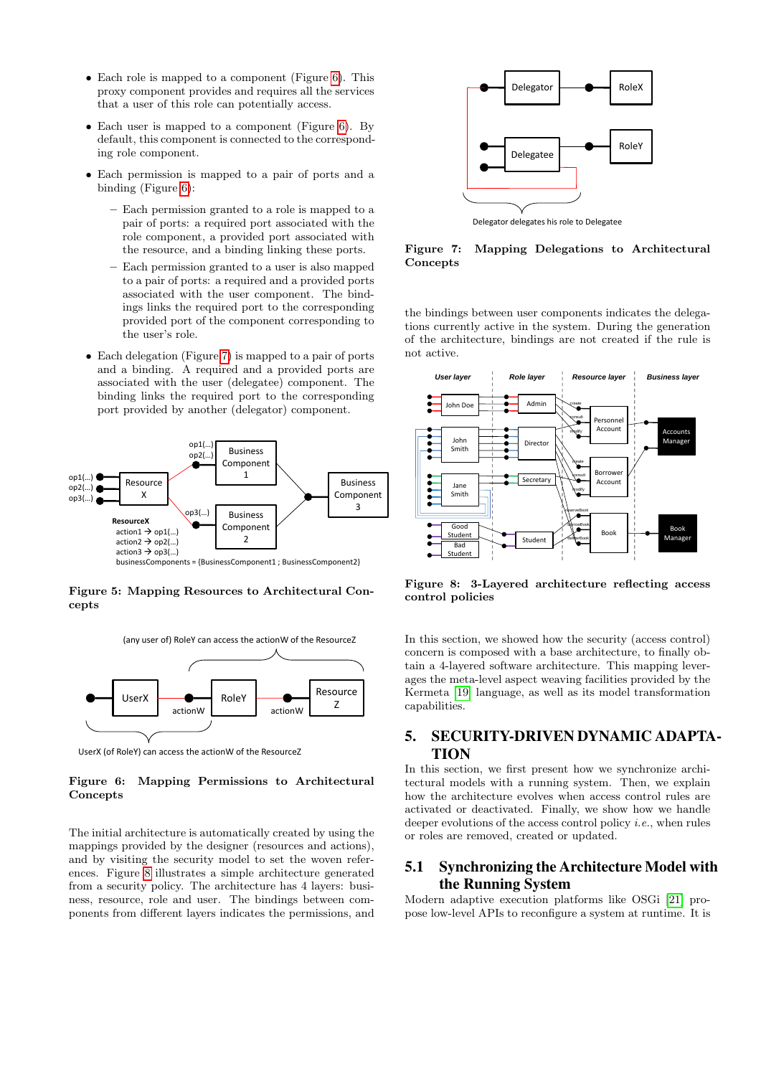- Each role is mapped to a component (Figure [6\)](#page-4-1). This proxy component provides and requires all the services that a user of this role can potentially access.
- Each user is mapped to a component (Figure [6\)](#page-4-1). By default, this component is connected to the corresponding role component.
- Each permission is mapped to a pair of ports and a binding (Figure [6\)](#page-4-1):
	- Each permission granted to a role is mapped to a pair of ports: a required port associated with the role component, a provided port associated with the resource, and a binding linking these ports.
- Each permission granted to a user is also mapped to a pair of ports: a required and a provided ports associated with the user component. The bindings links the required port to the corresponding provided port of the component corresponding to the user's role.  $U$  and  $U$  are  $V$  are  $U$  are  $V$  are  $U$  are  $U$  are  $U$  are  $U$  are  $U$  are  $U$  are  $U$  are  $U$  are  $U$  are  $U$  are  $U$  are  $U$  are  $U$  are  $U$  are  $U$  are  $U$  are  $U$  are  $U$  are  $U$  are  $U$  are  $U$  are  $U$  are  $U$  a  $\frac{1}{2}$
- Each delegation (Figure [7\)](#page-4-2) is mapped to a pair of ports and a binding. A required and a provided ports are associated with the user (delegatee) component. The binding links the required port to the corresponding port provided by another (delegator) component. **Permission Mapping Delegation Mapping** to a pair of po



<span id="page-4-0"></span>businessComponents = {BusinessComponent1 ; BusinessComponent2}





<span id="page-4-1"></span>UserX (of RoleY) can access the actionW of the ResourceZ

#### Figure 6: Mapping Permissions to Architectural tectural models with a running Concepts

mappings provided by the designer (resources and actions), and by visiting the security moder to set the woven references. Figure [8](#page-4-3) illustrates a simple architecture generated The initial architecture is automatically created by using the from a security policy. The architecture has 4 layers: business, resource, role and user. The bindings between comindicates the permissions, an and by visiting the security model to set the woven referponents from different layers indicates the permissions, and



Provided port associated with<br> **Permission Mapping Delegations to Architectural Figure 7:** Mapping Delegations to Architectural **Concepts** 

<span id="page-4-2"></span>RoleX

the smalley served also components maleades the deligations currently active in the system. During the generation of the architecture, bindings are not created if the rule is not active. the bindings between user components indicates the delega-



<span id="page-4-3"></span>Figure 8: 3-Layered architecture reflecting access control policies

Kermeta [\[19\]](#page-8-5) language, as well as its model transformation ages the meta-level aspect weaving facilities provided by the In this section, we showed how the security (access control) concern is composed with a base architecture, to finally obtain a 4-layered software architecture. This mapping levercapabilities.

### 5. SECURITY-DRIVEN DYNAMIC ADAPTA-**TION**

INCH INCH **DELEGATE:**<br>In this section, we first present how we synchronize architectural models with a running system. Then, we explain how the architecture evolves when access control rules are activated or deactivated. Finally, we show how we handle deeper evolutions of the access control policy *i.e.*, when rules or roles are removed, created or updated.

# <span id="page-4-4"></span>5.1 Synchronizing the Architecture Model with the Running System

Modern adaptive execution platforms like OSGi [\[21\]](#page-8-6) propose low-level APIs to reconfigure a system at runtime. It is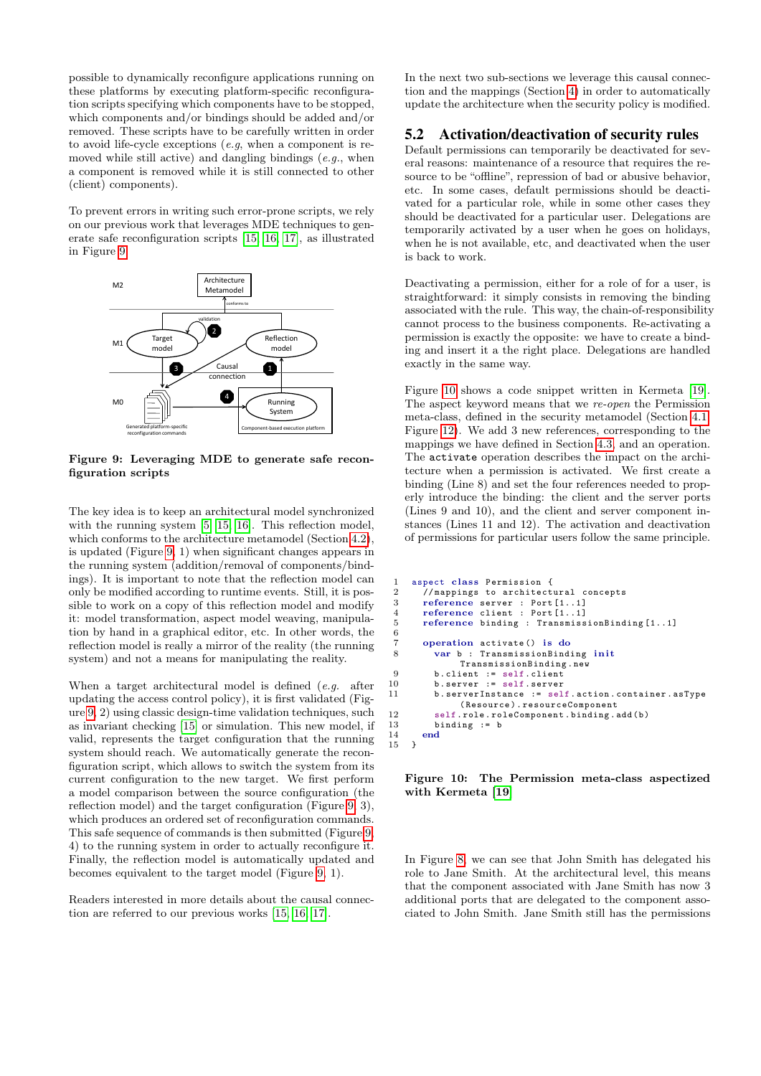possible to dynamically reconfigure applications running on these platforms by executing platform-specific reconfiguration scripts specifying which components have to be stopped, which components and/or bindings should be added and/or removed. These scripts have to be carefully written in order to avoid life-cycle exceptions (e.g, when a component is removed while still active) and dangling bindings  $(e.g.,$  when a component is removed while it is still connected to other (client) components).

To prevent errors in writing such error-prone scripts, we rely on our previous work that leverages MDE techniques to generate safe reconfiguration scripts [\[15,](#page-8-7) [16,](#page-8-8) [17\]](#page-8-9), as illustrated in Figure [9.](#page-5-0)



<span id="page-5-0"></span>Figure 9: Leveraging MDE to generate safe reconfiguration scripts

The key idea is to keep an architectural model synchronized with the running system [\[5,](#page-7-0) [15,](#page-8-7) [16\]](#page-8-8). This reflection model, which conforms to the architecture metamodel (Section [4.2\)](#page-3-0), is updated (Figure [9,](#page-5-0) 1) when significant changes appears in the running system (addition/removal of components/bindings). It is important to note that the reflection model can only be modified according to runtime events. Still, it is possible to work on a copy of this reflection model and modify it: model transformation, aspect model weaving, manipulation by hand in a graphical editor, etc. In other words, the reflection model is really a mirror of the reality (the running system) and not a means for manipulating the reality.

When a target architectural model is defined (e.g. after updating the access control policy), it is first validated (Figure [9,](#page-5-0) 2) using classic design-time validation techniques, such as invariant checking [\[15\]](#page-8-7) or simulation. This new model, if valid, represents the target configuration that the running system should reach. We automatically generate the reconfiguration script, which allows to switch the system from its current configuration to the new target. We first perform a model comparison between the source configuration (the reflection model) and the target configuration (Figure [9,](#page-5-0) 3), which produces an ordered set of reconfiguration commands. This safe sequence of commands is then submitted (Figure [9,](#page-5-0) 4) to the running system in order to actually reconfigure it. Finally, the reflection model is automatically updated and becomes equivalent to the target model (Figure [9,](#page-5-0) 1).

Readers interested in more details about the causal connection are referred to our previous works [\[15,](#page-8-7) [16,](#page-8-8) [17\]](#page-8-9).

In the next two sub-sections we leverage this causal connection and the mappings (Section [4\)](#page-3-4) in order to automatically update the architecture when the security policy is modified.

#### 5.2 Activation/deactivation of security rules

Default permissions can temporarily be deactivated for several reasons: maintenance of a resource that requires the resource to be "offline", repression of bad or abusive behavior, etc. In some cases, default permissions should be deactivated for a particular role, while in some other cases they should be deactivated for a particular user. Delegations are temporarily activated by a user when he goes on holidays, when he is not available, etc, and deactivated when the user is back to work.

Deactivating a permission, either for a role of for a user, is straightforward: it simply consists in removing the binding associated with the rule. This way, the chain-of-responsibility cannot process to the business components. Re-activating a permission is exactly the opposite: we have to create a binding and insert it a the right place. Delegations are handled exactly in the same way.

Figure [10](#page-5-1) shows a code snippet written in Kermeta [\[19\]](#page-8-5). The aspect keyword means that we re-open the Permission meta-class, defined in the security metamodel (Section [4.1,](#page-3-1) Figure [12\)](#page-9-0). We add 3 new references, corresponding to the mappings we have defined in Section [4.3,](#page-3-5) and an operation. The activate operation describes the impact on the architecture when a permission is activated. We first create a binding (Line 8) and set the four references needed to properly introduce the binding: the client and the server ports (Lines 9 and 10), and the client and server component instances (Lines 11 and 12). The activation and deactivation of permissions for particular users follow the same principle.

```
1 aspect class Permission {<br>2 //mannings to architect
 <sup>2</sup>//mappings to architectural concepts<br>3 reference server : Port[1..1]
 3 reference server : Port [1..1]<br>4 reference client : Port [1..1]
 4 reference client : Port [1..1]<br>5 reference binding : Transmiss
         reference binding : TransmissionBinding [1..1]
 6
 7 operation activate () is do<br>8 var b : TransmissionBind
           var b : TransmissionBinding init
                  TransmissionBinding . new
 9 b. client := self . client
10 b. server := self. server<br>11 b. serverInstance := sel
           b. serverInstance := self. action. container. asType
                  ( Resource ). resourceComponent
12 self.role.roleComponent.binding.add(b)<br>13 binding := b
13 binding := b<br>14 end
     \overrightarrow{h}15 }
```
#### <span id="page-5-1"></span>Figure 10: The Permission meta-class aspectized with Kermeta [\[19\]](#page-8-5)

In Figure [8,](#page-4-3) we can see that John Smith has delegated his role to Jane Smith. At the architectural level, this means that the component associated with Jane Smith has now 3 additional ports that are delegated to the component associated to John Smith. Jane Smith still has the permissions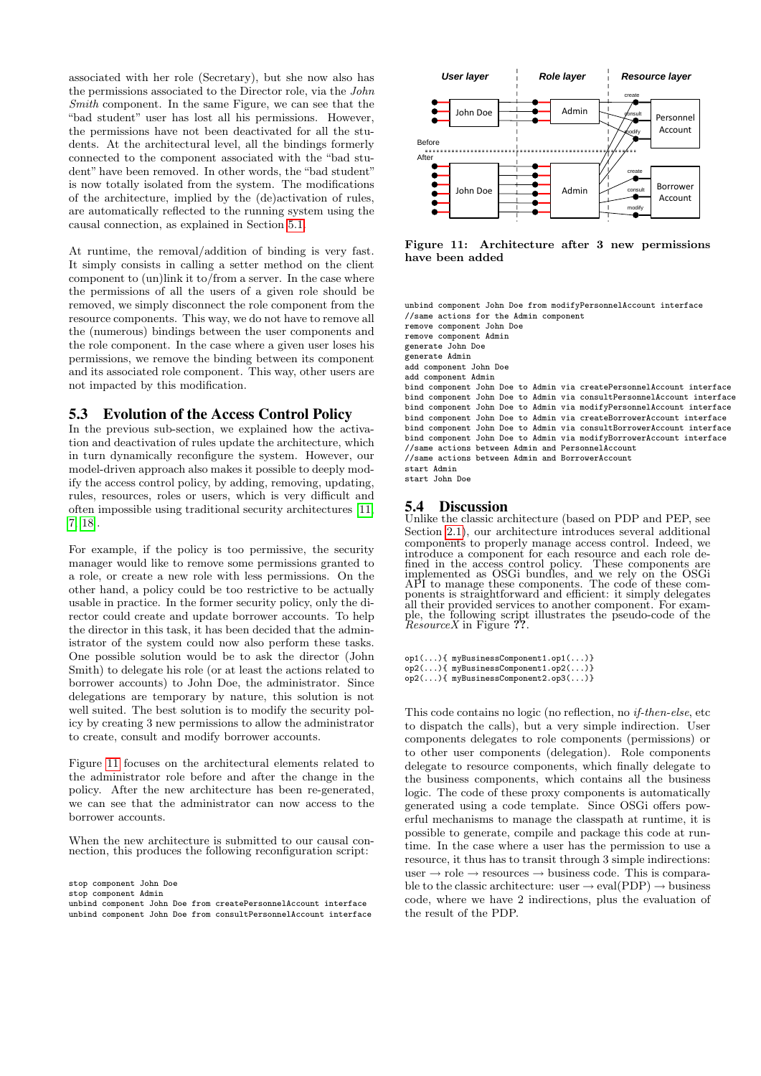associated with her role (Secretary), but she now also has the permissions associated to the Director role, via the John Smith component. In the same Figure, we can see that the "bad student" user has lost all his permissions. However, the permissions have not been deactivated for all the students. At the architectural level, all the bindings formerly connected to the component associated with the "bad student" have been removed. In other words, the "bad student" is now totally isolated from the system. The modifications of the architecture, implied by the (de)activation of rules, are automatically reflected to the running system using the causal connection, as explained in Section [5.1.](#page-4-4)

At runtime, the removal/addition of binding is very fast. It simply consists in calling a setter method on the client component to (un)link it to/from a server. In the case where the permissions of all the users of a given role should be removed, we simply disconnect the role component from the resource components. This way, we do not have to remove all the (numerous) bindings between the user components and the role component. In the case where a given user loses his permissions, we remove the binding between its component and its associated role component. This way, other users are not impacted by this modification.

### 5.3 Evolution of the Access Control Policy

In the previous sub-section, we explained how the activation and deactivation of rules update the architecture, which in turn dynamically reconfigure the system. However, our model-driven approach also makes it possible to deeply modify the access control policy, by adding, removing, updating, rules, resources, roles or users, which is very difficult and often impossible using traditional security architectures [\[11,](#page-8-1) [7,](#page-8-0) [18\]](#page-8-3).

For example, if the policy is too permissive, the security manager would like to remove some permissions granted to a role, or create a new role with less permissions. On the other hand, a policy could be too restrictive to be actually usable in practice. In the former security policy, only the director could create and update borrower accounts. To help the director in this task, it has been decided that the administrator of the system could now also perform these tasks. One possible solution would be to ask the director (John Smith) to delegate his role (or at least the actions related to borrower accounts) to John Doe, the administrator. Since delegations are temporary by nature, this solution is not well suited. The best solution is to modify the security policy by creating 3 new permissions to allow the administrator to create, consult and modify borrower accounts.

Figure [11](#page-6-0) focuses on the architectural elements related to the administrator role before and after the change in the policy. After the new architecture has been re-generated, we can see that the administrator can now access to the borrower accounts.

When the new architecture is submitted to our causal connection, this produces the following reconfiguration script:

stop component John Doe

stop component Admin

unbind component John Doe from createPersonnelAccount interface unbind component John Doe from consultPersonnelAccount interface



<span id="page-6-0"></span>Figure 11: Architecture after 3 new permissions have been added

```
unbind component John Doe from modifyPersonnelAccount interface
//same actions for the Admin component
remove component John Doe
remove component Admin
generate John Doe
generate Admin
add component John Doe
add component Admin
bind component John Doe to Admin via createPersonnelAccount interface
bind component John Doe to Admin via consultPersonnelAccount interface
bind component John Doe to Admin via modifyPersonnelAccount interface
bind component John Doe to Admin via createBorrowerAccount interface
bind component John Doe to Admin via consultBorrowerAccount interface
bind component John Doe to Admin via modifyBorrowerAccount interface
//same actions between Admin and PersonnelAccount
//same actions between Admin and BorrowerAccount
start Admin
start John Doe
```
### 5.4 Discussion

Unlike the classic architecture (based on PDP and PEP, see Section [2.1\)](#page-1-1), our architecture introduces several additional components to properly manage access control. Indeed, we introduce a component for each resource and each role de-fined in the access control policy. These components are implemented as OSGi bundles, and we rely on the OSGi API to manage these components. The code of these components is straightforward and efficient: it simply delegates all their provided services to another component. For exam-ple, the following script illustrates the pseudo-code of the ResourceX in Figure ??.

op1(...){ myBusinessComponent1.op1(...)} op2(...){ myBusinessComponent1.op2(...)} op2(...){ myBusinessComponent2.op3(...)}

This code contains no logic (no reflection, no if-then-else, etc to dispatch the calls), but a very simple indirection. User components delegates to role components (permissions) or to other user components (delegation). Role components delegate to resource components, which finally delegate to the business components, which contains all the business logic. The code of these proxy components is automatically generated using a code template. Since OSGi offers powerful mechanisms to manage the classpath at runtime, it is possible to generate, compile and package this code at runtime. In the case where a user has the permission to use a resource, it thus has to transit through 3 simple indirections: user  $\rightarrow$  role  $\rightarrow$  resources  $\rightarrow$  business code. This is comparable to the classic architecture: user  $\rightarrow$  eval(PDP)  $\rightarrow$  business code, where we have 2 indirections, plus the evaluation of the result of the PDP.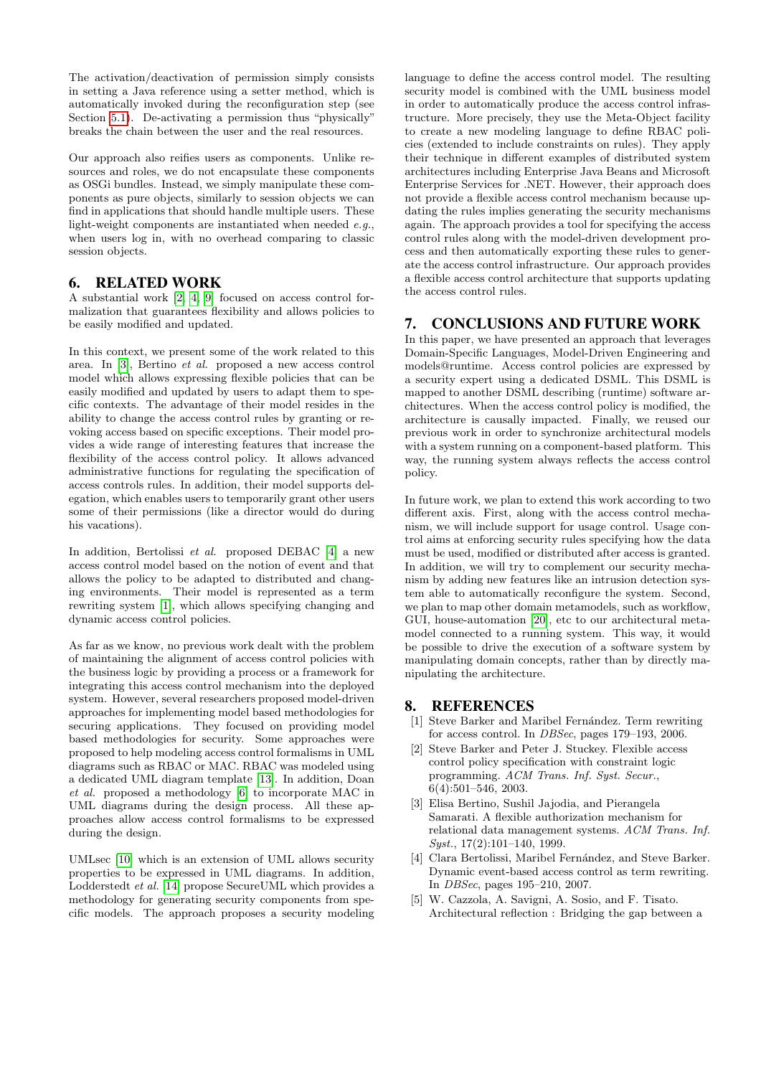The activation/deactivation of permission simply consists in setting a Java reference using a setter method, which is automatically invoked during the reconfiguration step (see Section [5.1\)](#page-4-4). De-activating a permission thus "physically" breaks the chain between the user and the real resources.

Our approach also reifies users as components. Unlike resources and roles, we do not encapsulate these components as OSGi bundles. Instead, we simply manipulate these components as pure objects, similarly to session objects we can find in applications that should handle multiple users. These light-weight components are instantiated when needed e.g., when users log in, with no overhead comparing to classic session objects.

### 6. RELATED WORK

A substantial work [\[2,](#page-7-1) [4,](#page-7-2) [9\]](#page-8-10) focused on access control formalization that guarantees flexibility and allows policies to be easily modified and updated.

In this context, we present some of the work related to this area. In [\[3\]](#page-7-3), Bertino et al. proposed a new access control model which allows expressing flexible policies that can be easily modified and updated by users to adapt them to specific contexts. The advantage of their model resides in the ability to change the access control rules by granting or revoking access based on specific exceptions. Their model provides a wide range of interesting features that increase the flexibility of the access control policy. It allows advanced administrative functions for regulating the specification of access controls rules. In addition, their model supports delegation, which enables users to temporarily grant other users some of their permissions (like a director would do during his vacations).

In addition, Bertolissi et al. proposed DEBAC [\[4\]](#page-7-2) a new access control model based on the notion of event and that allows the policy to be adapted to distributed and changing environments. Their model is represented as a term rewriting system [\[1\]](#page-7-4), which allows specifying changing and dynamic access control policies.

As far as we know, no previous work dealt with the problem of maintaining the alignment of access control policies with the business logic by providing a process or a framework for integrating this access control mechanism into the deployed system. However, several researchers proposed model-driven approaches for implementing model based methodologies for securing applications. They focused on providing model based methodologies for security. Some approaches were proposed to help modeling access control formalisms in UML diagrams such as RBAC or MAC. RBAC was modeled using a dedicated UML diagram template [\[13\]](#page-8-11). In addition, Doan et al. proposed a methodology [\[6\]](#page-8-12) to incorporate MAC in UML diagrams during the design process. All these approaches allow access control formalisms to be expressed during the design.

UMLsec [\[10\]](#page-8-13) which is an extension of UML allows security properties to be expressed in UML diagrams. In addition, Lodderstedt et al. [\[14\]](#page-8-14) propose SecureUML which provides a methodology for generating security components from specific models. The approach proposes a security modeling

language to define the access control model. The resulting security model is combined with the UML business model in order to automatically produce the access control infrastructure. More precisely, they use the Meta-Object facility to create a new modeling language to define RBAC policies (extended to include constraints on rules). They apply their technique in different examples of distributed system architectures including Enterprise Java Beans and Microsoft Enterprise Services for .NET. However, their approach does not provide a flexible access control mechanism because updating the rules implies generating the security mechanisms again. The approach provides a tool for specifying the access control rules along with the model-driven development process and then automatically exporting these rules to generate the access control infrastructure. Our approach provides a flexible access control architecture that supports updating the access control rules.

### 7. CONCLUSIONS AND FUTURE WORK

In this paper, we have presented an approach that leverages Domain-Specific Languages, Model-Driven Engineering and models@runtime. Access control policies are expressed by a security expert using a dedicated DSML. This DSML is mapped to another DSML describing (runtime) software architectures. When the access control policy is modified, the architecture is causally impacted. Finally, we reused our previous work in order to synchronize architectural models with a system running on a component-based platform. This way, the running system always reflects the access control policy.

In future work, we plan to extend this work according to two different axis. First, along with the access control mechanism, we will include support for usage control. Usage control aims at enforcing security rules specifying how the data must be used, modified or distributed after access is granted. In addition, we will try to complement our security mechanism by adding new features like an intrusion detection system able to automatically reconfigure the system. Second, we plan to map other domain metamodels, such as workflow, GUI, house-automation [\[20\]](#page-8-15), etc to our architectural metamodel connected to a running system. This way, it would be possible to drive the execution of a software system by manipulating domain concepts, rather than by directly manipulating the architecture.

### 8. REFERENCES

- <span id="page-7-4"></span>[1] Steve Barker and Maribel Fernández. Term rewriting for access control. In DBSec, pages 179–193, 2006.
- <span id="page-7-1"></span>[2] Steve Barker and Peter J. Stuckey. Flexible access control policy specification with constraint logic programming. ACM Trans. Inf. Syst. Secur.,  $6(4):501-546, 2003.$
- <span id="page-7-3"></span>[3] Elisa Bertino, Sushil Jajodia, and Pierangela Samarati. A flexible authorization mechanism for relational data management systems. ACM Trans. Inf. Syst., 17(2):101-140, 1999.
- <span id="page-7-2"></span>[4] Clara Bertolissi, Maribel Fernández, and Steve Barker. Dynamic event-based access control as term rewriting. In DBSec, pages 195–210, 2007.
- <span id="page-7-0"></span>[5] W. Cazzola, A. Savigni, A. Sosio, and F. Tisato. Architectural reflection : Bridging the gap between a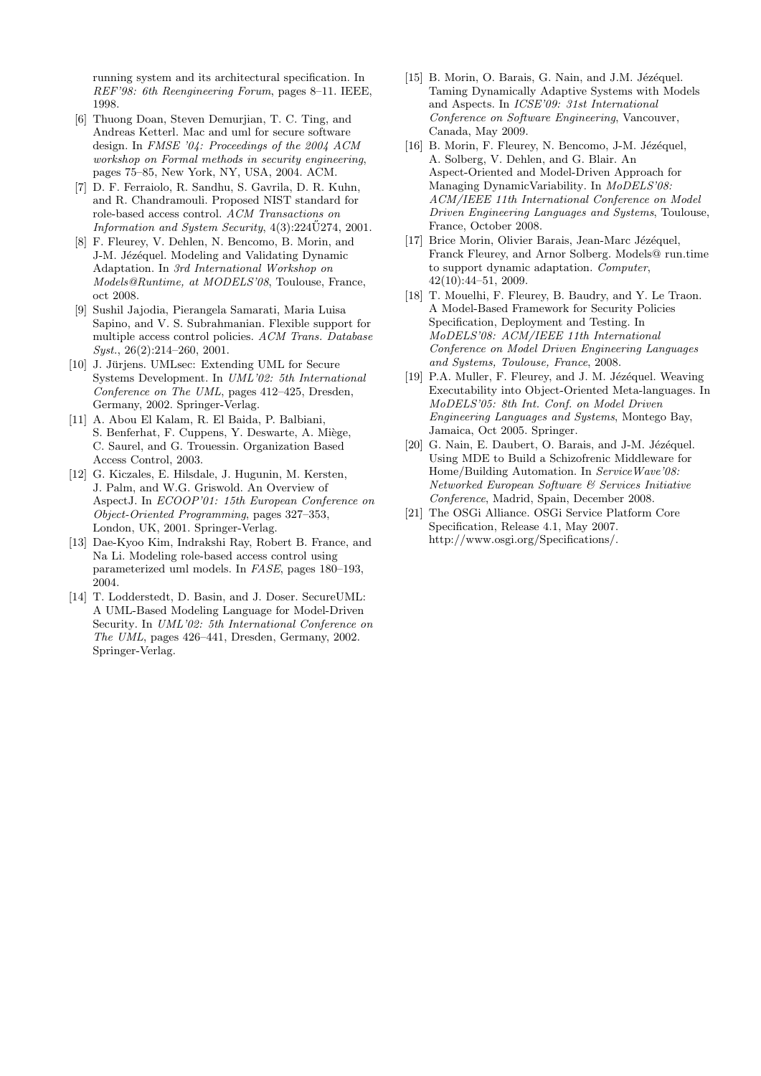running system and its architectural specification. In REF'98: 6th Reengineering Forum, pages 8–11. IEEE, 1998.

- <span id="page-8-12"></span>[6] Thuong Doan, Steven Demurjian, T. C. Ting, and Andreas Ketterl. Mac and uml for secure software design. In FMSE '04: Proceedings of the 2004 ACM workshop on Formal methods in security engineering, pages 75–85, New York, NY, USA, 2004. ACM.
- <span id="page-8-0"></span>[7] D. F. Ferraiolo, R. Sandhu, S. Gavrila, D. R. Kuhn, and R. Chandramouli. Proposed NIST standard for role-based access control. ACM Transactions on Information and System Security,  $4(3):224\tilde{U}274$ , 2001.
- <span id="page-8-4"></span>[8] F. Fleurey, V. Dehlen, N. Bencomo, B. Morin, and J-M. Jézéquel. Modeling and Validating Dynamic Adaptation. In 3rd International Workshop on Models@Runtime, at MODELS'08, Toulouse, France, oct 2008.
- <span id="page-8-10"></span>[9] Sushil Jajodia, Pierangela Samarati, Maria Luisa Sapino, and V. S. Subrahmanian. Flexible support for multiple access control policies. ACM Trans. Database Syst., 26(2):214-260, 2001.
- <span id="page-8-13"></span>[10] J. Jürjens. UMLsec: Extending UML for Secure Systems Development. In UML'02: 5th International Conference on The UML, pages 412–425, Dresden, Germany, 2002. Springer-Verlag.
- <span id="page-8-1"></span>[11] A. Abou El Kalam, R. El Baida, P. Balbiani, S. Benferhat, F. Cuppens, Y. Deswarte, A. Miège, C. Saurel, and G. Trouessin. Organization Based Access Control, 2003.
- <span id="page-8-2"></span>[12] G. Kiczales, E. Hilsdale, J. Hugunin, M. Kersten, J. Palm, and W.G. Griswold. An Overview of AspectJ. In ECOOP'01: 15th European Conference on Object-Oriented Programming, pages 327–353, London, UK, 2001. Springer-Verlag.
- <span id="page-8-11"></span>[13] Dae-Kyoo Kim, Indrakshi Ray, Robert B. France, and Na Li. Modeling role-based access control using parameterized uml models. In FASE, pages 180–193, 2004.
- <span id="page-8-14"></span>[14] T. Lodderstedt, D. Basin, and J. Doser. SecureUML: A UML-Based Modeling Language for Model-Driven Security. In *UML'02: 5th International Conference on* The UML, pages 426–441, Dresden, Germany, 2002. Springer-Verlag.
- <span id="page-8-7"></span>[15] B. Morin, O. Barais, G. Nain, and J.M. Jézéquel. Taming Dynamically Adaptive Systems with Models and Aspects. In ICSE'09: 31st International Conference on Software Engineering, Vancouver, Canada, May 2009.
- <span id="page-8-8"></span>[16] B. Morin, F. Fleurey, N. Bencomo, J-M. Jézéquel, A. Solberg, V. Dehlen, and G. Blair. An Aspect-Oriented and Model-Driven Approach for Managing DynamicVariability. In MoDELS'08: ACM/IEEE 11th International Conference on Model Driven Engineering Languages and Systems, Toulouse, France, October 2008.
- <span id="page-8-9"></span>[17] Brice Morin, Olivier Barais, Jean-Marc Jézéquel, Franck Fleurey, and Arnor Solberg. Models@ run.time to support dynamic adaptation. Computer, 42(10):44–51, 2009.
- <span id="page-8-3"></span>[18] T. Mouelhi, F. Fleurey, B. Baudry, and Y. Le Traon. A Model-Based Framework for Security Policies Specification, Deployment and Testing. In MoDELS'08: ACM/IEEE 11th International Conference on Model Driven Engineering Languages and Systems, Toulouse, France, 2008.
- <span id="page-8-5"></span>[19] P.A. Muller, F. Fleurey, and J. M. Jézéquel. Weaving Executability into Object-Oriented Meta-languages. In MoDELS'05: 8th Int. Conf. on Model Driven Engineering Languages and Systems, Montego Bay, Jamaica, Oct 2005. Springer.
- <span id="page-8-15"></span>[20] G. Nain, E. Daubert, O. Barais, and J-M. Jézéquel. Using MDE to Build a Schizofrenic Middleware for Home/Building Automation. In ServiceWave'08: Networked European Software & Services Initiative Conference, Madrid, Spain, December 2008.
- <span id="page-8-6"></span>[21] The OSGi Alliance. OSGi Service Platform Core Specification, Release 4.1, May 2007. http://www.osgi.org/Specifications/.